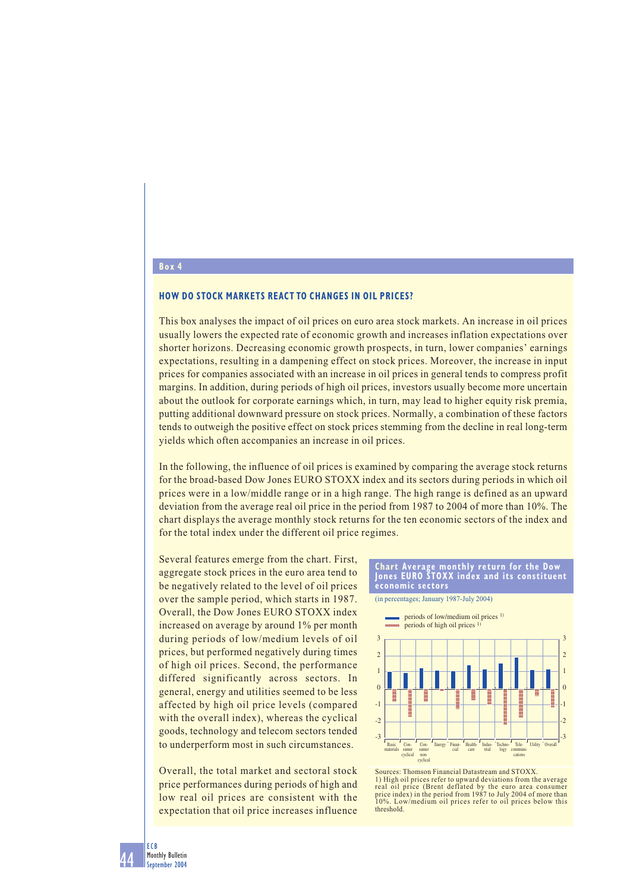## **HOW DO STOCK MARKETS REACT TO CHANGES IN OIL PRICES?**

This box analyses the impact of oil prices on euro area stock markets. An increase in oil prices usually lowers the expected rate of economic growth and increases inflation expectations over shorter horizons. Decreasing economic growth prospects, in turn, lower companies' earnings expectations, resulting in a dampening effect on stock prices. Moreover, the increase in input prices for companies associated with an increase in oil prices in general tends to compress profit margins. In addition, during periods of high oil prices, investors usually become more uncertain about the outlook for corporate earnings which, in turn, may lead to higher equity risk premia, putting additional downward pressure on stock prices. Normally, a combination of these factors tends to outweigh the positive effect on stock prices stemming from the decline in real long-term yields which often accompanies an increase in oil prices.

In the following, the influence of oil prices is examined by comparing the average stock returns for the broad-based Dow Jones EURO STOXX index and its sectors during periods in which oil prices were in a low/middle range or in a high range. The high range is defined as an upward deviation from the average real oil price in the period from 1987 to 2004 of more than 10%. The chart displays the average monthly stock returns for the ten economic sectors of the index and for the total index under the different oil price regimes.

Several features emerge from the chart. First, aggregate stock prices in the euro area tend to be negatively related to the level of oil prices over the sample period, which starts in 1987. Overall, the Dow Jones EURO STOXX index increased on average by around 1% per month during periods of low/medium levels of oil prices, but performed negatively during times of high oil prices. Second, the performance differed significantly across sectors. In general, energy and utilities seemed to be less affected by high oil price levels (compared with the overall index), whereas the cyclical goods, technology and telecom sectors tended to underperform most in such circumstances.

Overall, the total market and sectoral stock price performances during periods of high and low real oil prices are consistent with the expectation that oil price increases influence

## **Chart Average monthly return for the Dow Jones EURO STOXX index and its constituent economic sectors**

(in percentages; January 1987-July 2004)



Sources: Thomson Financial Datastream and STOXX. 1) High oil prices refer to upward deviations from the average real oil price (Brent deflated by the euro area consumer price index) in the period from 1987 to July 2004 of more than 10%. Low/medium oil prices refer to oil prices below this threshold.

**Box 4**